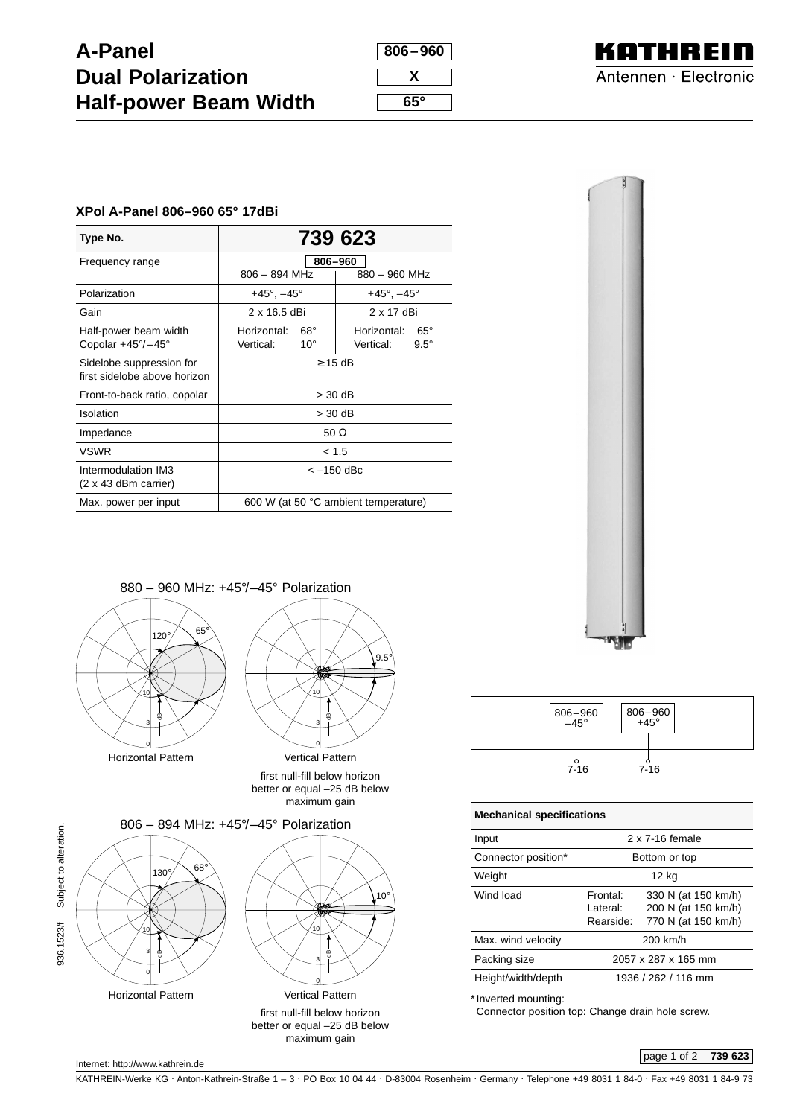## **A-Panel Dual Polarization Half-power Beam Width**

| 806–960 |
|---------|
|         |
| x       |
|         |
| 65°     |



## **XPol A-Panel 806–960 65° 17dBi**

| Type No.                          | 739 623                                                        |                             |  |  |
|-----------------------------------|----------------------------------------------------------------|-----------------------------|--|--|
|                                   |                                                                |                             |  |  |
| Frequency range                   | 806-960                                                        |                             |  |  |
|                                   | $806 - 894$ MHz<br>880 - 960 MHz                               |                             |  |  |
| Polarization                      | $+45^{\circ}$ , $-45^{\circ}$<br>$+45^{\circ}$ , $-45^{\circ}$ |                             |  |  |
| Gain                              | $2 \times 16.5$ dBi                                            | 2 x 17 dBi                  |  |  |
| Half-power beam width             | $68^\circ$<br>Horizontal:                                      | $65^{\circ}$<br>Horizontal: |  |  |
| Copolar $+45^{\circ}/-45^{\circ}$ | Vertical:<br>$10^{\circ}$                                      | Vertical:<br>$9.5^\circ$    |  |  |
| Sidelobe suppression for          | $\geq$ 15 dB                                                   |                             |  |  |
| first sidelobe above horizon      |                                                                |                             |  |  |
| Front-to-back ratio, copolar      | $>$ 30 dB                                                      |                             |  |  |
| Isolation                         | $>$ 30 dB                                                      |                             |  |  |
| Impedance                         | 50 $\Omega$                                                    |                             |  |  |
| <b>VSWR</b>                       | < 1.5                                                          |                             |  |  |
| Intermodulation IM3               | $<-150$ dBc                                                    |                             |  |  |
| $(2 \times 43$ dBm carrier)       |                                                                |                             |  |  |
| Max. power per input              | 600 W (at 50 °C ambient temperature)                           |                             |  |  |











maximum gain



| <b>Mechanical specifications</b>   |                                                                   |  |  |  |
|------------------------------------|-------------------------------------------------------------------|--|--|--|
| 2 x 7-16 female                    |                                                                   |  |  |  |
| Bottom or top                      |                                                                   |  |  |  |
| 12 kg                              |                                                                   |  |  |  |
| Frontal:<br>I ateral:<br>Rearside: | 330 N (at 150 km/h)<br>200 N (at 150 km/h)<br>770 N (at 150 km/h) |  |  |  |
| 200 km/h                           |                                                                   |  |  |  |
| 2057 x 287 x 165 mm                |                                                                   |  |  |  |
| 1936 / 262 / 116 mm                |                                                                   |  |  |  |
|                                    |                                                                   |  |  |  |

\* Inverted mounting:

Connector position top: Change drain hole screw.

page 1 of 2 **739 623**